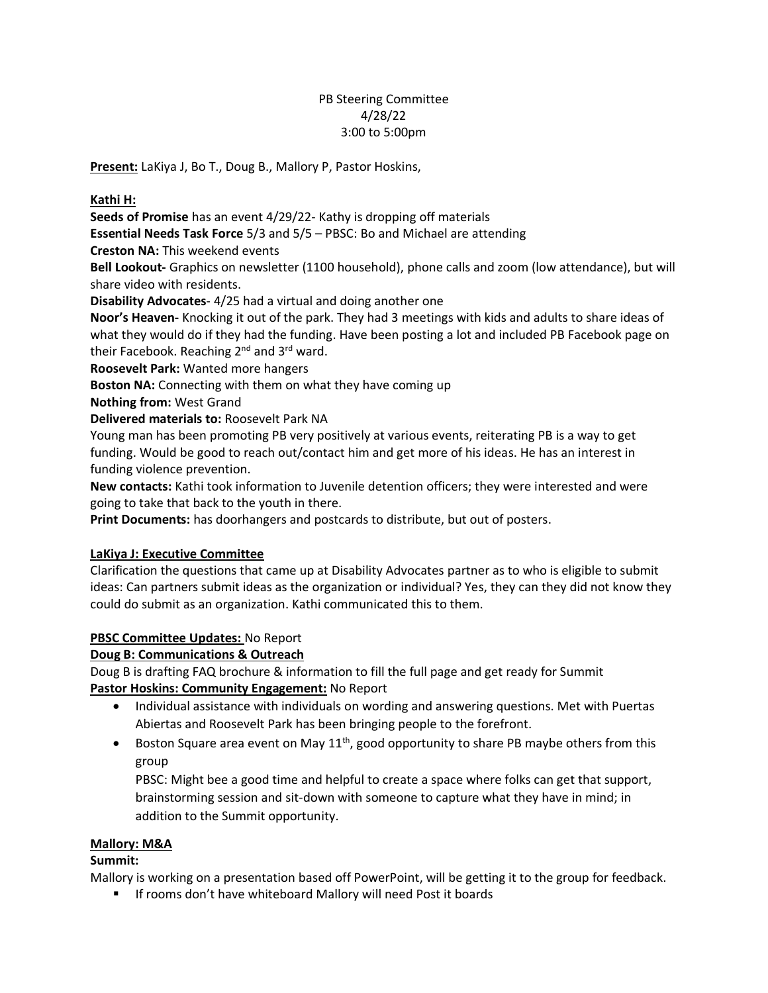# PB Steering Committee 4/28/22 3:00 to 5:00pm

**Present:** LaKiya J, Bo T., Doug B., Mallory P, Pastor Hoskins,

### **Kathi H:**

**Seeds of Promise** has an event 4/29/22- Kathy is dropping off materials

**Essential Needs Task Force** 5/3 and 5/5 – PBSC: Bo and Michael are attending

**Creston NA:** This weekend events

**Bell Lookout-** Graphics on newsletter (1100 household), phone calls and zoom (low attendance), but will share video with residents.

**Disability Advocates**- 4/25 had a virtual and doing another one

**Noor's Heaven-** Knocking it out of the park. They had 3 meetings with kids and adults to share ideas of what they would do if they had the funding. Have been posting a lot and included PB Facebook page on their Facebook. Reaching 2<sup>nd</sup> and 3<sup>rd</sup> ward.

**Roosevelt Park:** Wanted more hangers

**Boston NA:** Connecting with them on what they have coming up

**Nothing from:** West Grand

**Delivered materials to:** Roosevelt Park NA

Young man has been promoting PB very positively at various events, reiterating PB is a way to get funding. Would be good to reach out/contact him and get more of his ideas. He has an interest in funding violence prevention.

**New contacts:** Kathi took information to Juvenile detention officers; they were interested and were going to take that back to the youth in there.

**Print Documents:** has doorhangers and postcards to distribute, but out of posters.

### **LaKiya J: Executive Committee**

Clarification the questions that came up at Disability Advocates partner as to who is eligible to submit ideas: Can partners submit ideas as the organization or individual? Yes, they can they did not know they could do submit as an organization. Kathi communicated this to them.

### **PBSC Committee Updates:** No Report

### **Doug B: Communications & Outreach**

Doug B is drafting FAQ brochure & information to fill the full page and get ready for Summit **Pastor Hoskins: Community Engagement:** No Report

- Individual assistance with individuals on wording and answering questions. Met with Puertas Abiertas and Roosevelt Park has been bringing people to the forefront.
- Boston Square area event on May  $11^{th}$ , good opportunity to share PB maybe others from this group

PBSC: Might bee a good time and helpful to create a space where folks can get that support, brainstorming session and sit-down with someone to capture what they have in mind; in addition to the Summit opportunity.

### **Mallory: M&A**

### **Summit:**

Mallory is working on a presentation based off PowerPoint, will be getting it to the group for feedback.

■ If rooms don't have whiteboard Mallory will need Post it boards